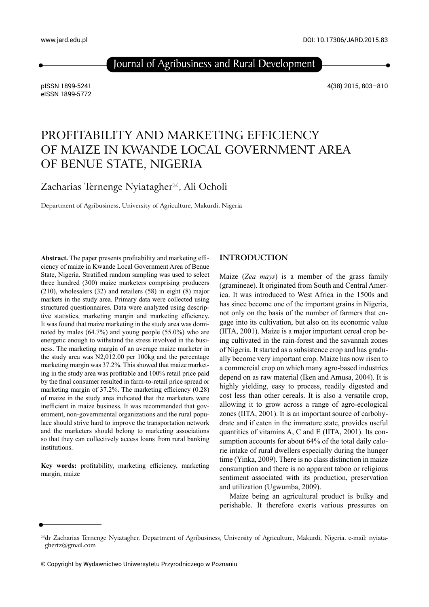Journal of Agribusiness and Rural Development

pISSN 1899-5241 eISSN 1899-5772 4(38) 2015, 803–810

# PROFITABILITY AND MARKETING EFFICIENCY OF MAIZE IN KWANDE LOCAL GOVERNMENT AREA OF BENUE STATE, NIGERIA

Zacharias Ternenge Nyiatagher $\mathbb{R}$ , Ali Ocholi

Department of Agribusiness, University of Agriculture, Makurdi, Nigeria

Abstract. The paper presents profitability and marketing efficiency of maize in Kwande Local Government Area of Benue State, Nigeria. Stratified random sampling was used to select three hundred (300) maize marketers comprising producers (210), wholesalers (32) and retailers (58) in eight (8) major markets in the study area. Primary data were collected using structured questionnaires. Data were analyzed using descriptive statistics, marketing margin and marketing efficiency. It was found that maize marketing in the study area was dominated by males (64.7%) and young people (55.0%) who are energetic enough to withstand the stress involved in the business. The marketing margin of an average maize marketer in the study area was N2,012.00 per 100kg and the percentage marketing margin was 37.2%. This showed that maize marketing in the study area was profitable and 100% retail price paid by the final consumer resulted in farm-to-retail price spread or marketing margin of  $37.2\%$ . The marketing efficiency  $(0.28)$ of maize in the study area indicated that the marketers were inefficient in maize business. It was recommended that government, non-governmental organizations and the rural populace should strive hard to improve the transportation network and the marketers should belong to marketing associations so that they can collectively access loans from rural banking institutions.

Key words: profitability, marketing efficiency, marketing margin, maize

# **INTRODUCTION**

Maize (*Zea mays*) is a member of the grass family (gramineae). It originated from South and Central America. It was introduced to West Africa in the 1500s and has since become one of the important grains in Nigeria, not only on the basis of the number of farmers that engage into its cultivation, but also on its economic value (IITA, 2001). Maize is a major important cereal crop being cultivated in the rain-forest and the savannah zones of Nigeria. It started as a subsistence crop and has gradually become very important crop. Maize has now risen to a commercial crop on which many agro-based industries depend on as raw material (Iken and Amusa, 2004). It is highly yielding, easy to process, readily digested and cost less than other cereals. It is also a versatile crop, allowing it to grow across a range of agro-ecological zones (IITA, 2001). It is an important source of carbohydrate and if eaten in the immature state, provides useful quantities of vitamins A, C and E (IITA, 2001). Its consumption accounts for about 64% of the total daily calorie intake of rural dwellers especially during the hunger time (Yinka, 2009). There is no class distinction in maize consumption and there is no apparent taboo or religious sentiment associated with its production, preservation and utilization (Ugwumba, 2009).

Maize being an agricultural product is bulky and perishable. It therefore exerts various pressures on

 $\mathbb{Z}$ dr Zacharias Ternenge Nyiatagher, Department of Agribusiness, University of Agriculture, Makurdi, Nigeria, e-mail: nyiataghertz@gmail.com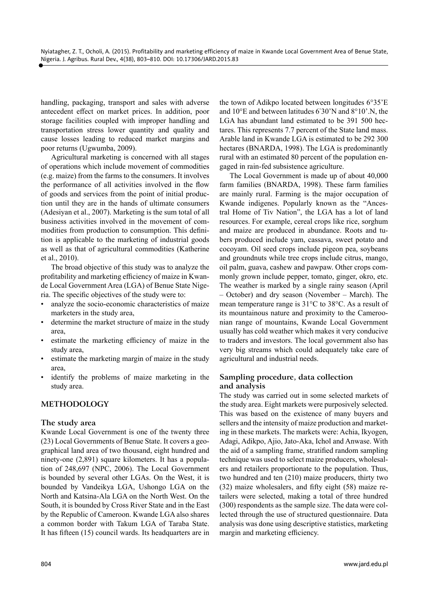handling, packaging, transport and sales with adverse antecedent effect on market prices. In addition, poor storage facilities coupled with improper handling and transportation stress lower quantity and quality and cause losses leading to reduced market margins and poor returns (Ugwumba, 2009).

Agricultural marketing is concerned with all stages of operations which include movement of commodities (e.g. maize) from the farms to the consumers. It involves the performance of all activities involved in the flow of goods and services from the point of initial production until they are in the hands of ultimate consumers (Adesiyan et al., 2007). Marketing is the sum total of all business activities involved in the movement of commodities from production to consumption. This definition is applicable to the marketing of industrial goods as well as that of agricultural commodities (Katherine et al., 2010).

The broad objective of this study was to analyze the profitability and marketing efficiency of maize in Kwande Local Government Area (LGA) of Benue State Nigeria. The specific objectives of the study were to:

- analyze the socio-economic characteristics of maize marketers in the study area,
- determine the market structure of maize in the study area,
- estimate the marketing efficiency of maize in the study area,
- estimate the marketing margin of maize in the study area,
- identify the problems of maize marketing in the study area.

# **METHODOLOGY**

#### **The study area**

Kwande Local Government is one of the twenty three (23) Local Governments of Benue State. It covers a geographical land area of two thousand, eight hundred and ninety-one (2,891) square kilometers. It has a population of 248,697 (NPC, 2006). The Local Government is bounded by several other LGAs. On the West, it is bounded by Vandeikya LGA, Ushongo LGA on the North and Katsina-Ala LGA on the North West. On the South, it is bounded by Cross River State and in the East by the Republic of Cameroon. Kwande LGA also shares a common border with Takum LGA of Taraba State. It has fifteen (15) council wards. Its headquarters are in

the town of Adikpo located between longitudes 6°35'E and 10°E and between latitudes 6° 30'N and 8°10'.N, the LGA has abundant land estimated to be 391 500 hectares. This represents 7.7 percent of the State land mass. Arable land in Kwande LGA is estimated to be 292 300 hectares (BNARDA, 1998). The LGA is predominantly rural with an estimated 80 percent of the population engaged in rain-fed subsistence agriculture.

The Local Government is made up of about 40,000 farm families (BNARDA, 1998). These farm families are mainly rural. Farming is the major occupation of Kwande indigenes. Popularly known as the "Ancestral Home of Tiv Nation", the LGA has a lot of land resources. For example, cereal crops like rice, sorghum and maize are produced in abundance. Roots and tubers produced include yam, cassava, sweet potato and cocoyam. Oil seed crops include pigeon pea, soybeans and groundnuts while tree crops include citrus, mango, oil palm, guava, cashew and pawpaw. Other crops commonly grown include pepper, tomato, ginger, okro, etc. The weather is marked by a single rainy season (April – October) and dry season (November – March). The mean temperature range is 31°C to 38°C. As a result of its mountainous nature and proximity to the Cameroonian range of mountains, Kwande Local Government usually has cold weather which makes it very conducive to traders and investors. The local government also has very big streams which could adequately take care of agricultural and industrial needs.

# **Sampling procedure, data collection and analysis**

The study was carried out in some selected markets of the study area. Eight markets were purposively selected. This was based on the existence of many buyers and sellers and the intensity of maize production and marketing in these markets. The markets were: Achia, Ikyogen, Adagi, Adikpo, Ajio, Jato-Aka, Ichol and Anwase. With the aid of a sampling frame, stratified random sampling technique was used to select maize producers, wholesalers and retailers proportionate to the population. Thus, two hundred and ten (210) maize producers, thirty two  $(32)$  maize wholesalers, and fifty eight  $(58)$  maize retailers were selected, making a total of three hundred (300) respondents as the sample size. The data were collected through the use of structured questionnaire. Data analysis was done using descriptive statistics, marketing margin and marketing efficiency.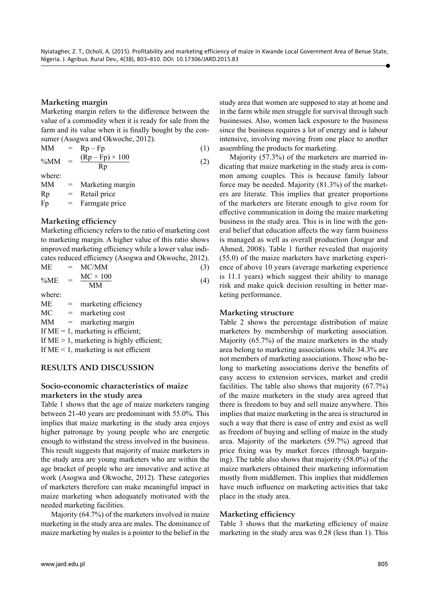# **Marketing margin**

Marketing margin refers to the difference between the value of a commodity when it is ready for sale from the farm and its value when it is finally bought by the consumer (Asogwa and Okwoche, 2012).

$$
MM = Rp - Fp
$$
  
\n%MM = 
$$
\frac{(Rp - Fp) \times 100}{Rp}
$$
 (1)  
\nwhere: (1)

MM = Marketing margin  $Rp =$  Retail price  $Fp = Farmgate price$ 

# **Marketing efficiency**

Marketing efficiency refers to the ratio of marketing cost to marketing margin. A higher value of this ratio shows improved marketing efficiency while a lower value indicates reduced efficiency (Asogwa and Okwoche, 2012).

| MЕ               | $= MC/MM$       |  |
|------------------|-----------------|--|
| $0/3$ $\sqrt{1}$ | $MC \times 100$ |  |

| %ME | $\!\!\!=\!\!\!\!$ | $MC \times 100$<br>MМ |  |
|-----|-------------------|-----------------------|--|
|     |                   |                       |  |

where:

 $ME =$  marketing efficiency

 $MC =$  marketing cost

MM = marketing margin

If  $ME = 1$ , marketing is efficient;

If  $ME > 1$ , marketing is highly efficient;

If  $ME < 1$ , marketing is not efficient

# **RESULTS AND DISCUSSION**

# **Socio-economic characteristics of maize marketers in the study area**

Table 1 shows that the age of maize marketers ranging between 21-40 years are predominant with 55.0%. This implies that maize marketing in the study area enjoys higher patronage by young people who are energetic enough to withstand the stress involved in the business. This result suggests that majority of maize marketers in the study area are young marketers who are within the age bracket of people who are innovative and active at work (Asogwa and Okwoche, 2012). These categories of marketers therefore can make meaningful impact in maize marketing when adequately motivated with the needed marketing facilities.

Majority (64.7%) of the marketers involved in maize marketing in the study area are males. The dominance of maize marketing by males is a pointer to the belief in the study area that women are supposed to stay at home and in the farm while men struggle for survival through such businesses. Also, women lack exposure to the business since the business requires a lot of energy and is labour intensive, involving moving from one place to another assembling the products for marketing.

Majority (57.3%) of the marketers are married indicating that maize marketing in the study area is common among couples. This is because family labour force may be needed. Majority (81.3%) of the marketers are literate. This implies that greater proportions of the marketers are literate enough to give room for effective communication in doing the maize marketing business in the study area. This is in line with the general belief that education affects the way farm business is managed as well as overall production (Jongur and Ahmed, 2008). Table 1 further revealed that majority (55.0) of the maize marketers have marketing experience of above 10 years (average marketing experience is 11.1 years) which suggest their ability to manage risk and make quick decision resulting in better marketing performance.

#### **Marketing structure**

Table 2 shows the percentage distribution of maize marketers by membership of marketing association. Majority (65.7%) of the maize marketers in the study area belong to marketing associations while 34.3% are not members of marketing associations. Those who belong to marketing associations derive the benefits of easy access to extension services, market and credit facilities. The table also shows that majority (67.7%) of the maize marketers in the study area agreed that there is freedom to buy and sell maize anywhere. This implies that maize marketing in the area is structured in such a way that there is ease of entry and exist as well as freedom of buying and selling of maize in the study area. Majority of the marketers (59.7%) agreed that price fixing was by market forces (through bargaining). The table also shows that majority (58.0%) of the maize marketers obtained their marketing information mostly from middlemen. This implies that middlemen have much influence on marketing activities that take place in the study area.

# **Marketing efficiency**

Table 3 shows that the marketing efficiency of maize marketing in the study area was 0.28 (less than 1). This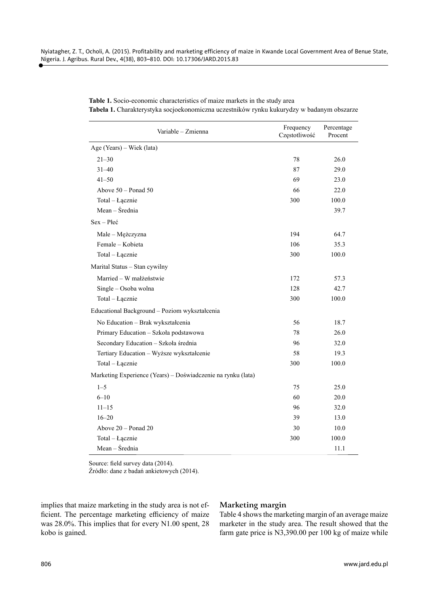| Variable - Zmienna                                           | Frequency<br>Częstotliwość | Percentage<br>Procent |
|--------------------------------------------------------------|----------------------------|-----------------------|
| Age (Years) – Wiek (lata)                                    |                            |                       |
| $21 - 30$                                                    | 78                         | 26.0                  |
| $31 - 40$                                                    | 87                         | 29.0                  |
| $41 - 50$                                                    | 69                         | 23.0                  |
| Above $50 -$ Ponad $50$                                      | 66                         | 22.0                  |
| Total - Łącznie                                              | 300                        | 100.0                 |
| Mean – Średnia                                               |                            | 39.7                  |
| $Sex - P$ <sub>łeć</sub>                                     |                            |                       |
| Male - Mężczyzna                                             | 194                        | 64.7                  |
| Female – Kobieta                                             | 106                        | 35.3                  |
| Total - Łącznie                                              | 300                        | 100.0                 |
| Marital Status - Stan cywilny                                |                            |                       |
| Married - W małżeństwie                                      | 172                        | 57.3                  |
| Single - Osoba wolna                                         | 128                        | 42.7                  |
| Total - Łącznie                                              | 300                        | 100.0                 |
| Educational Background - Poziom wykształcenia                |                            |                       |
| No Education - Brak wykształcenia                            | 56                         | 18.7                  |
| Primary Education - Szkoła podstawowa                        | 78                         | 26.0                  |
| Secondary Education - Szkoła średnia                         | 96                         | 32.0                  |
| Tertiary Education - Wyższe wykształcenie                    | 58                         | 19.3                  |
| Total - Łącznie                                              | 300                        | 100.0                 |
| Marketing Experience (Years) - Doświadczenie na rynku (lata) |                            |                       |
| $1 - 5$                                                      | 75                         | 25.0                  |
| $6 - 10$                                                     | 60                         | 20.0                  |
| $11 - 15$                                                    | 96                         | 32.0                  |
| $16 - 20$                                                    | 39                         | 13.0                  |
| Above $20 -$ Ponad $20$                                      | 30                         | 10.0                  |
| Total - Łącznie                                              | 300                        | 100.0                 |
| Mean - Średnia                                               |                            | 11.1                  |

**Table 1.** Socio-economic characteristics of maize markets in the study area **Tabela 1.** Charakterystyka socjoekonomiczna uczestników rynku kukurydzy w badanym obszarze

Source: field survey data (2014).

Źródło: dane z badań ankietowych (2014).

implies that maize marketing in the study area is not efficient. The percentage marketing efficiency of maize was 28.0%. This implies that for every N1.00 spent, 28 kobo is gained.

#### **Marketing margin**

Table 4 shows the marketing margin of an average maize marketer in the study area. The result showed that the farm gate price is N3,390.00 per 100 kg of maize while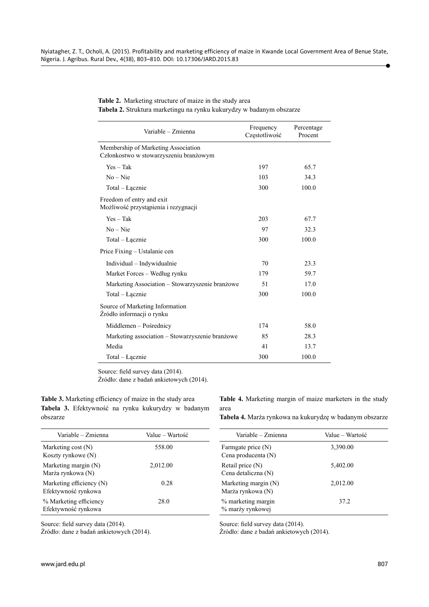#### **Table 2.** Marketing structure of maize in the study area **Tabela 2.** Struktura marketingu na rynku kukurydzy w badanym obszarze

| Variable - Zmienna                                                            | Frequency<br>Częstotliwość | Percentage<br>Procent |
|-------------------------------------------------------------------------------|----------------------------|-----------------------|
| Membership of Marketing Association<br>Członkostwo w stowarzyszeniu branżowym |                            |                       |
| $Yes - Tak$                                                                   | 197                        | 65.7                  |
| $No - Nie$                                                                    | 103                        | 34.3                  |
| Total – Łącznie                                                               | 300                        | 100.0                 |
| Freedom of entry and exit<br>Możliwość przystąpienia i rezygnacji             |                            |                       |
| $Yes - Tak$                                                                   | 203                        | 67.7                  |
| $No - Nie$                                                                    | 97                         | 32.3                  |
| Total – Łącznie                                                               | 300                        | 100.0                 |
| Price Fixing – Ustalanie cen                                                  |                            |                       |
| Individual – Indywidualnie                                                    | 70                         | 23.3                  |
| Market Forces – Według rynku                                                  | 179                        | 59.7                  |
| Marketing Association - Stowarzyszenie branżowe                               | 51                         | 17.0                  |
| Total – Łącznie                                                               | 300                        | 100.0                 |
| Source of Marketing Information<br>Źródło informacji o rynku                  |                            |                       |
| Middlemen – Pośrednicy                                                        | 174                        | 58.0                  |
| Marketing association – Stowarzyszenie branżowe                               | 85                         | 28.3                  |
| Media                                                                         | 41                         | 13.7                  |
| Total – Łącznie                                                               | 300                        | 100.0                 |

Source: field survey data (2014). Źródło: dane z badań ankietowych (2014).

Table 3. Marketing efficiency of maize in the study area **Tabela 3.** Efektywność na rynku kukurydzy w badanym obszarze

**Table 4.** Marketing margin of maize marketers in the study area

**Tabela 4.** Marża rynkowa na kukurydzę w badanym obszarze

| Variable – Zmienna<br>Value – Wartość           |          | Variable – Zmienna                          | Value – Wartość |  |
|-------------------------------------------------|----------|---------------------------------------------|-----------------|--|
| Marketing cost $(N)$<br>Koszty rynkowe (N)      | 558.00   | Farmgate price (N)<br>Cena producenta (N)   | 3,390.00        |  |
| Marketing margin (N)<br>Marża rynkowa (N)       | 2,012.00 | Retail price $(N)$<br>Cena detaliczna (N)   | 5,402.00        |  |
| Marketing efficiency (N)<br>Efektywność rynkowa | 0.28     | Marketing margin $(N)$<br>Marża rynkowa (N) | 2.012.00        |  |
| % Marketing efficiency<br>Efektywność rynkowa   | 28.0     | % marketing margin<br>% marży rynkowej      | 37.2            |  |

Source: field survey data (2014).

Źródło: dane z badań ankietowych (2014).

Source: field survey data (2014).

Źródło: dane z badań ankietowych (2014).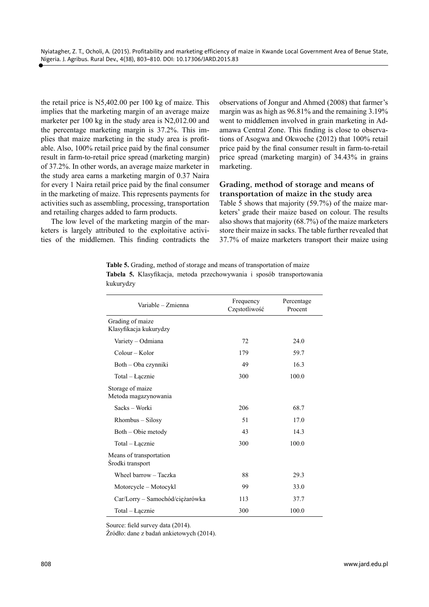the retail price is N5,402.00 per 100 kg of maize. This implies that the marketing margin of an average maize marketer per 100 kg in the study area is N2,012.00 and the percentage marketing margin is 37.2%. This implies that maize marketing in the study area is profitable. Also, 100% retail price paid by the final consumer result in farm-to-retail price spread (marketing margin) of 37.2%. In other words, an average maize marketer in the study area earns a marketing margin of 0.37 Naira for every 1 Naira retail price paid by the final consumer in the marketing of maize. This represents payments for activities such as assembling, processing, transportation and retailing charges added to farm products.

The low level of the marketing margin of the marketers is largely attributed to the exploitative activities of the middlemen. This finding contradicts the

observations of Jongur and Ahmed (2008) that farmer's margin was as high as 96.81% and the remaining 3.19% went to middlemen involved in grain marketing in Adamawa Central Zone. This finding is close to observations of Asogwa and Okwoche (2012) that 100% retail price paid by the final consumer result in farm-to-retail price spread (marketing margin) of 34.43% in grains marketing.

### **Grading, method of storage and means of transportation of maize in the study area**

Table 5 shows that majority (59.7%) of the maize marketers' grade their maize based on colour. The results also shows that majority (68.7%) of the maize marketers store their maize in sacks. The table further revealed that 37.7% of maize marketers transport their maize using

|           |  | <b>Table 5.</b> Grading, method of storage and means of transportation of maize |  |  |
|-----------|--|---------------------------------------------------------------------------------|--|--|
|           |  | Tabela 5. Klasyfikacja, metoda przechowywania i sposób transportowania          |  |  |
| kukurydzy |  |                                                                                 |  |  |

| Frequency<br>Częstotliwość | Percentage<br>Procent |
|----------------------------|-----------------------|
|                            |                       |
| 72                         | 24.0                  |
| 179                        | 59.7                  |
| 49                         | 16.3                  |
| 300                        | 100.0                 |
|                            |                       |
| 206                        | 68.7                  |
| 51                         | 17.0                  |
| 43                         | 14.3                  |
| 300                        | 100.0                 |
|                            |                       |
| 88                         | 29.3                  |
| 99                         | 33.0                  |
| 113                        | 37.7                  |
| 300                        | 100.0                 |
|                            |                       |

Source: field survey data (2014).

Źródło: dane z badań ankietowych (2014).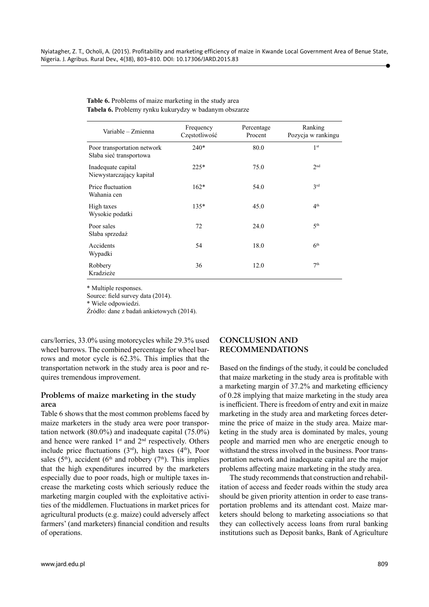| Variable - Zmienna                                     | Frequency<br>Częstotliwość | Percentage<br>Procent | Ranking<br>Pozycja w rankingu |
|--------------------------------------------------------|----------------------------|-----------------------|-------------------------------|
| Poor transportation network<br>Słaba sieć transportowa | $240*$                     | 80.0                  | 1 <sup>st</sup>               |
| Inadequate capital<br>Niewystarczający kapitał         | $225*$                     | 75.0                  | 2 <sub>nd</sub>               |
| Price fluctuation<br>Wahania cen                       | $162*$                     | 54.0                  | 3rd                           |
| High taxes<br>Wysokie podatki                          | $135*$                     | 45.0                  | 4 <sup>th</sup>               |
| Poor sales<br>Słaba sprzedaż                           | 72                         | 24.0                  | 5 <sup>th</sup>               |
| Accidents<br>Wypadki                                   | 54                         | 18.0                  | 6 <sup>th</sup>               |
| Robbery<br>Kradzieże                                   | 36                         | 12.0                  | 7 <sup>th</sup>               |

| Table 6. Problems of maize marketing in the study area |
|--------------------------------------------------------|
| Tabela 6. Problemy rynku kukurydzy w badanym obszarze  |

\* Multiple responses.

Source: field survey data (2014).

\* Wiele odpowiedzi.

Źródło: dane z badań ankietowych (2014).

cars/lorries, 33.0% using motorcycles while 29.3% used wheel barrows. The combined percentage for wheel barrows and motor cycle is 62.3%. This implies that the transportation network in the study area is poor and requires tremendous improvement.

# **Problems of maize marketing in the study area**

Table 6 shows that the most common problems faced by maize marketers in the study area were poor transportation network (80.0%) and inadequate capital (75.0%) and hence were ranked  $1<sup>st</sup>$  and  $2<sup>nd</sup>$  respectively. Others include price fluctuations  $(3<sup>rd</sup>)$ , high taxes  $(4<sup>th</sup>)$ , Poor sales (5<sup>th</sup>), accident (6<sup>th</sup> and robbery (7<sup>th</sup>). This implies that the high expenditures incurred by the marketers especially due to poor roads, high or multiple taxes increase the marketing costs which seriously reduce the marketing margin coupled with the exploitative activities of the middlemen. Fluctuations in market prices for agricultural products (e.g. maize) could adversely affect farmers' (and marketers) financial condition and results of operations.

#### **CONCLUSION AND RECOMMENDATIONS**

Based on the findings of the study, it could be concluded that maize marketing in the study area is profitable with a marketing margin of  $37.2%$  and marketing efficiency of 0.28 implying that maize marketing in the study area is inefficient. There is freedom of entry and exit in maize marketing in the study area and marketing forces determine the price of maize in the study area. Maize marketing in the study area is dominated by males, young people and married men who are energetic enough to withstand the stress involved in the business. Poor transportation network and inadequate capital are the major problems affecting maize marketing in the study area.

The study recommends that construction and rehabilitation of access and feeder roads within the study area should be given priority attention in order to ease transportation problems and its attendant cost. Maize marketers should belong to marketing associations so that they can collectively access loans from rural banking institutions such as Deposit banks, Bank of Agriculture